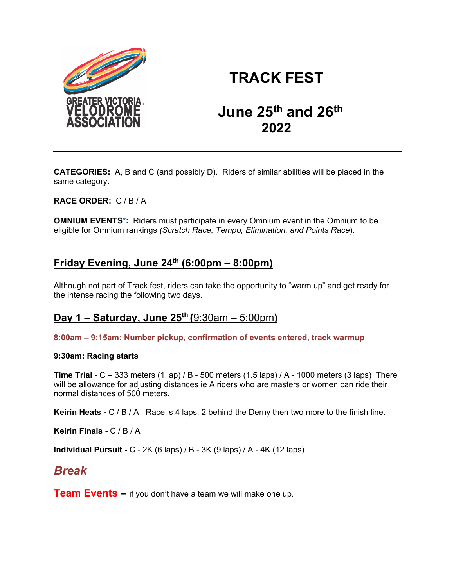

# **TRACK FEST**

# **June 25th and 26th 2022**

**CATEGORIES:** A, B and C (and possibly D). Riders of similar abilities will be placed in the same category.

**RACE ORDER:** C / B / A

**OMNIUM EVENTS\*:** Riders must participate in every Omnium event in the Omnium to be eligible for Omnium rankings *(Scratch Race, Tempo, Elimination, and Points Race*).

## **Friday Evening, June 24th (6:00pm – 8:00pm)**

Although not part of Track fest, riders can take the opportunity to "warm up" and get ready for the intense racing the following two days.

### **Day 1 – Saturday, June 25th (**9:30am – 5:00pm**)**

**8:00am – 9:15am: Number pickup, confirmation of events entered, track warmup**

### **9:30am: Racing starts**

**Time Trial -** C – 333 meters (1 lap) / B - 500 meters (1.5 laps) / A - 1000 meters (3 laps) There will be allowance for adjusting distances ie A riders who are masters or women can ride their normal distances of 500 meters.

**Keirin Heats -** C / B / A Race is 4 laps, 2 behind the Derny then two more to the finish line.

**Keirin Finals -** C / B / A

**Individual Pursuit -** C - 2K (6 laps) / B - 3K (9 laps) / A - 4K (12 laps)

# *Break*

**Team Events –** if you don't have a team we will make one up.